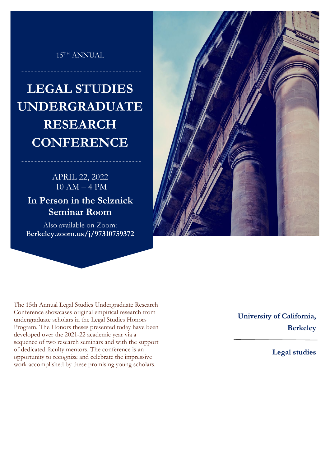## 15TH ANNUAL

## **LEGAL STUDIES UNDERGRADUATE RESEARCH CONFERENCE**

## APRIL 22, 2022 10 AM – 4 PM

**In Person in the Selznick Seminar Room**

Also available on Zoom: B**erkeley.zoom.us/j/97310759372**



The 15th Annual Legal Studies Undergraduate Research Conference showcases original empirical research from undergraduate scholars in the Legal Studies Honors Program. The Honors theses presented today have been developed over the 2021-22 academic year via a sequence of two research seminars and with the support of dedicated faculty mentors. The conference is an opportunity to recognize and celebrate the impressive work accomplished by these promising young scholars.

**University of California, Berkeley** 

**Legal studies**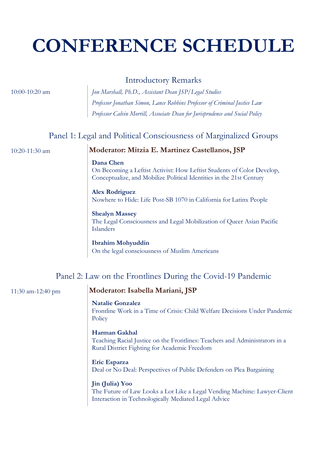# **CONFERENCE SCHEDULE**

## Introductory Remarks

10:00-10:20 am *Jon Marshall, Ph.D., Assistant Dean JSP/Legal Studies Professor Jonathan Simon, Lance Robbins Professor of Criminal Justice Law Professor Calvin Morrill, Associate Dean for Jurisprudence and Social Policy*

## Panel 1: Legal and Political Consciousness of Marginalized Groups

## 10:20-11:30 am **Moderator: Mitzia E. Martinez Castellanos, JSP**

#### **Dana Chen**

On Becoming a Leftist Activist: How Leftist Students of Color Develop, Conceptualize, and Mobilize Political Identities in the 21st Century

**Alex Rodriguez** Nowhere to Hide: Life Post-SB 1070 in California for Latinx People

#### **Shealyn Massey**

The Legal Consciousness and Legal Mobilization of Queer Asian Pacific Islanders

#### **Ibrahim Mohyuddin**

On the legal consciousness of Muslim Americans

## Panel 2: Law on the Frontlines During the Covid-19 Pandemic

## 11:30 am-12:40 pm **Moderator: Isabella Mariani, JSP**

#### **Natalie Gonzalez**

Frontline Work in a Time of Crisis: Child Welfare Decisions Under Pandemic **Policy** 

#### **Harman Gakhal**

Teaching Racial Justice on the Frontlines: Teachers and Administrators in a Rural District Fighting for Academic Freedom

#### **Eric Esparza**

Deal or No Deal: Perspectives of Public Defenders on Plea Bargaining

#### **Jin (Julia) Yoo**

The Future of Law Looks a Lot Like a Legal Vending Machine: Lawyer-Client Interaction in Technologically Mediated Legal Advice